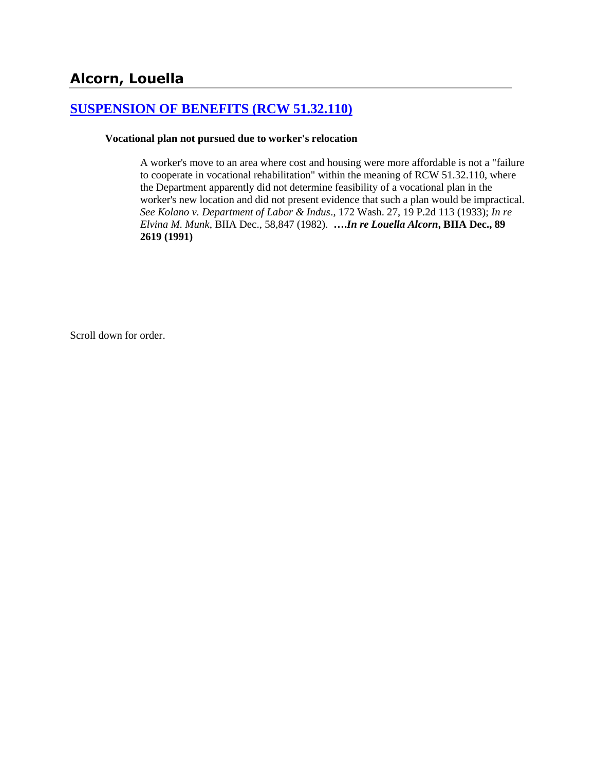# **[SUSPENSION OF BENEFITS \(RCW 51.32.110\)](http://www.biia.wa.gov/SDSubjectIndex.html#SUSPENSION_OF_BENEFITS)**

#### **Vocational plan not pursued due to worker's relocation**

A worker's move to an area where cost and housing were more affordable is not a "failure to cooperate in vocational rehabilitation" within the meaning of RCW 51.32.110, where the Department apparently did not determine feasibility of a vocational plan in the worker's new location and did not present evidence that such a plan would be impractical. *See Kolano v. Department of Labor & Indus*., 172 Wash. 27, 19 P.2d 113 (1933); *In re Elvina M. Munk*, BIIA Dec., 58,847 (1982). **….***In re Louella Alcorn***, BIIA Dec., 89 2619 (1991)**

Scroll down for order.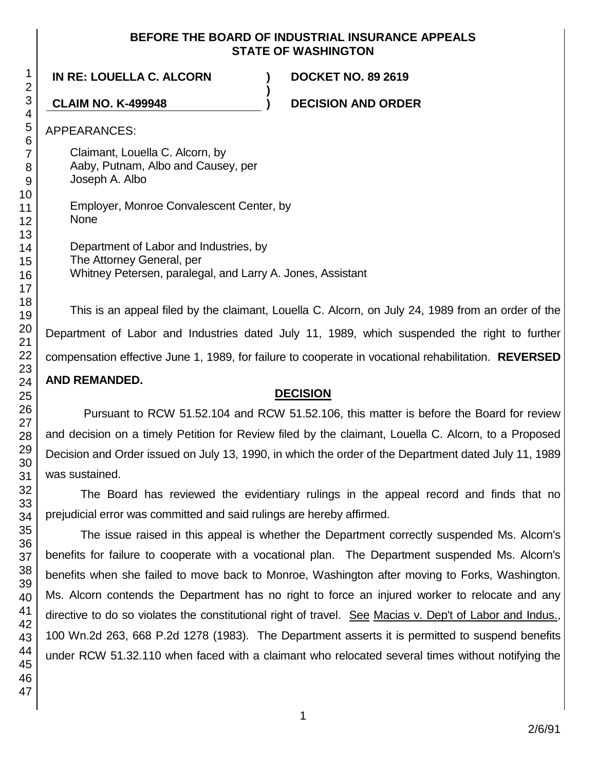#### **BEFORE THE BOARD OF INDUSTRIAL INSURANCE APPEALS STATE OF WASHINGTON**

**)**

**IN RE: LOUELLA C. ALCORN ) DOCKET NO. 89 2619**

**CLAIM NO. K-499948 ) DECISION AND ORDER**

APPEARANCES:

Claimant, Louella C. Alcorn, by Aaby, Putnam, Albo and Causey, per Joseph A. Albo

Employer, Monroe Convalescent Center, by None

Department of Labor and Industries, by The Attorney General, per Whitney Petersen, paralegal, and Larry A. Jones, Assistant

This is an appeal filed by the claimant, Louella C. Alcorn, on July 24, 1989 from an order of the Department of Labor and Industries dated July 11, 1989, which suspended the right to further compensation effective June 1, 1989, for failure to cooperate in vocational rehabilitation. **REVERSED AND REMANDED.**

# **DECISION**

Pursuant to RCW 51.52.104 and RCW 51.52.106, this matter is before the Board for review and decision on a timely Petition for Review filed by the claimant, Louella C. Alcorn, to a Proposed Decision and Order issued on July 13, 1990, in which the order of the Department dated July 11, 1989 was sustained.

The Board has reviewed the evidentiary rulings in the appeal record and finds that no prejudicial error was committed and said rulings are hereby affirmed.

The issue raised in this appeal is whether the Department correctly suspended Ms. Alcorn's benefits for failure to cooperate with a vocational plan. The Department suspended Ms. Alcorn's benefits when she failed to move back to Monroe, Washington after moving to Forks, Washington. Ms. Alcorn contends the Department has no right to force an injured worker to relocate and any directive to do so violates the constitutional right of travel. See Macias v. Dep't of Labor and Indus., 100 Wn.2d 263, 668 P.2d 1278 (1983). The Department asserts it is permitted to suspend benefits under RCW 51.32.110 when faced with a claimant who relocated several times without notifying the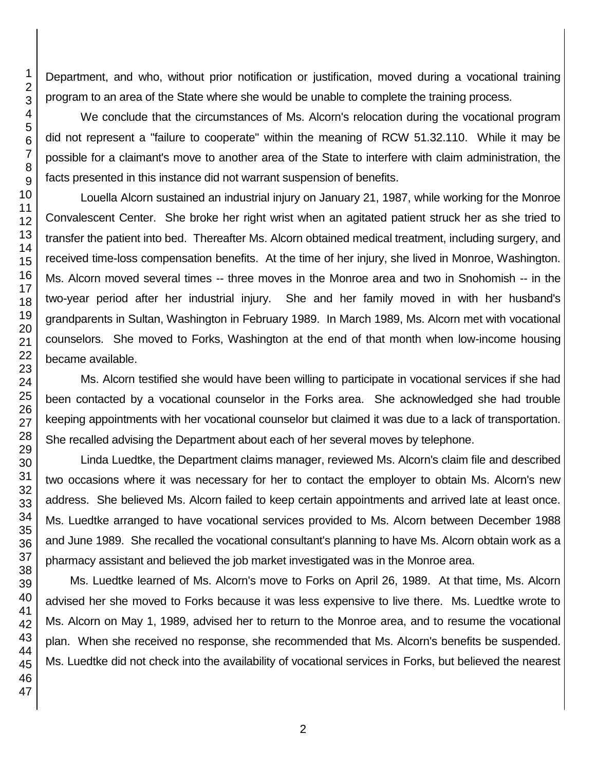Department, and who, without prior notification or justification, moved during a vocational training program to an area of the State where she would be unable to complete the training process.

We conclude that the circumstances of Ms. Alcorn's relocation during the vocational program did not represent a "failure to cooperate" within the meaning of RCW 51.32.110. While it may be possible for a claimant's move to another area of the State to interfere with claim administration, the facts presented in this instance did not warrant suspension of benefits.

Louella Alcorn sustained an industrial injury on January 21, 1987, while working for the Monroe Convalescent Center. She broke her right wrist when an agitated patient struck her as she tried to transfer the patient into bed. Thereafter Ms. Alcorn obtained medical treatment, including surgery, and received time-loss compensation benefits. At the time of her injury, she lived in Monroe, Washington. Ms. Alcorn moved several times -- three moves in the Monroe area and two in Snohomish -- in the two-year period after her industrial injury. She and her family moved in with her husband's grandparents in Sultan, Washington in February 1989. In March 1989, Ms. Alcorn met with vocational counselors. She moved to Forks, Washington at the end of that month when low-income housing became available.

Ms. Alcorn testified she would have been willing to participate in vocational services if she had been contacted by a vocational counselor in the Forks area. She acknowledged she had trouble keeping appointments with her vocational counselor but claimed it was due to a lack of transportation. She recalled advising the Department about each of her several moves by telephone.

Linda Luedtke, the Department claims manager, reviewed Ms. Alcorn's claim file and described two occasions where it was necessary for her to contact the employer to obtain Ms. Alcorn's new address. She believed Ms. Alcorn failed to keep certain appointments and arrived late at least once. Ms. Luedtke arranged to have vocational services provided to Ms. Alcorn between December 1988 and June 1989. She recalled the vocational consultant's planning to have Ms. Alcorn obtain work as a pharmacy assistant and believed the job market investigated was in the Monroe area.

Ms. Luedtke learned of Ms. Alcorn's move to Forks on April 26, 1989. At that time, Ms. Alcorn advised her she moved to Forks because it was less expensive to live there. Ms. Luedtke wrote to Ms. Alcorn on May 1, 1989, advised her to return to the Monroe area, and to resume the vocational plan. When she received no response, she recommended that Ms. Alcorn's benefits be suspended. Ms. Luedtke did not check into the availability of vocational services in Forks, but believed the nearest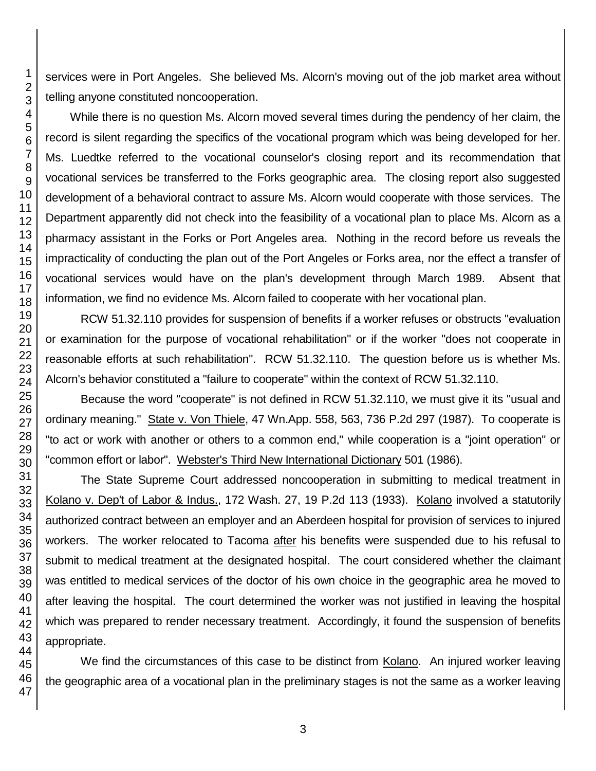services were in Port Angeles. She believed Ms. Alcorn's moving out of the job market area without telling anyone constituted noncooperation.

While there is no question Ms. Alcorn moved several times during the pendency of her claim, the record is silent regarding the specifics of the vocational program which was being developed for her. Ms. Luedtke referred to the vocational counselor's closing report and its recommendation that vocational services be transferred to the Forks geographic area. The closing report also suggested development of a behavioral contract to assure Ms. Alcorn would cooperate with those services. The Department apparently did not check into the feasibility of a vocational plan to place Ms. Alcorn as a pharmacy assistant in the Forks or Port Angeles area. Nothing in the record before us reveals the impracticality of conducting the plan out of the Port Angeles or Forks area, nor the effect a transfer of vocational services would have on the plan's development through March 1989. Absent that information, we find no evidence Ms. Alcorn failed to cooperate with her vocational plan.

RCW 51.32.110 provides for suspension of benefits if a worker refuses or obstructs "evaluation or examination for the purpose of vocational rehabilitation" or if the worker "does not cooperate in reasonable efforts at such rehabilitation". RCW 51.32.110. The question before us is whether Ms. Alcorn's behavior constituted a "failure to cooperate" within the context of RCW 51.32.110.

Because the word "cooperate" is not defined in RCW 51.32.110, we must give it its "usual and ordinary meaning." State v. Von Thiele, 47 Wn.App. 558, 563, 736 P.2d 297 (1987). To cooperate is "to act or work with another or others to a common end," while cooperation is a "joint operation" or "common effort or labor". Webster's Third New International Dictionary 501 (1986).

The State Supreme Court addressed noncooperation in submitting to medical treatment in Kolano v. Dep't of Labor & Indus., 172 Wash. 27, 19 P.2d 113 (1933). Kolano involved a statutorily authorized contract between an employer and an Aberdeen hospital for provision of services to injured workers. The worker relocated to Tacoma after his benefits were suspended due to his refusal to submit to medical treatment at the designated hospital. The court considered whether the claimant was entitled to medical services of the doctor of his own choice in the geographic area he moved to after leaving the hospital. The court determined the worker was not justified in leaving the hospital which was prepared to render necessary treatment. Accordingly, it found the suspension of benefits appropriate.

We find the circumstances of this case to be distinct from Kolano. An injured worker leaving the geographic area of a vocational plan in the preliminary stages is not the same as a worker leaving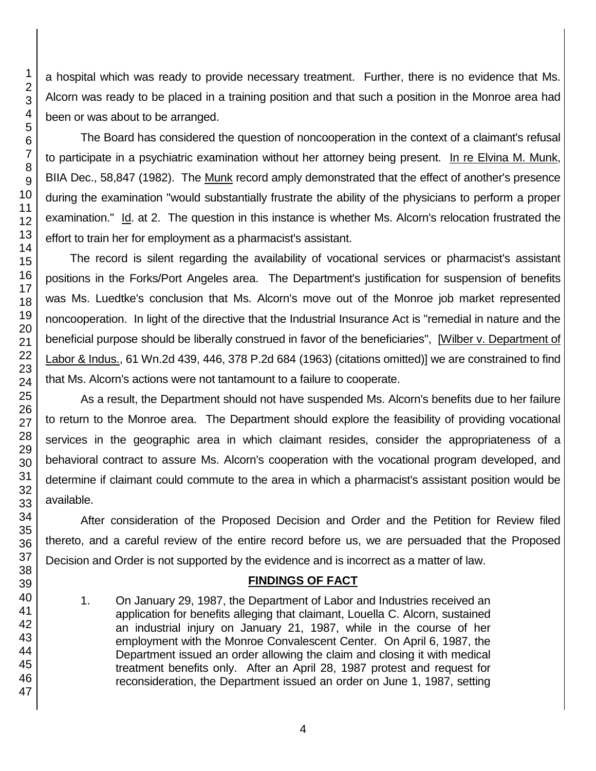a hospital which was ready to provide necessary treatment. Further, there is no evidence that Ms. Alcorn was ready to be placed in a training position and that such a position in the Monroe area had been or was about to be arranged.

The Board has considered the question of noncooperation in the context of a claimant's refusal to participate in a psychiatric examination without her attorney being present. In re Elvina M. Munk, BIIA Dec., 58,847 (1982). The Munk record amply demonstrated that the effect of another's presence during the examination "would substantially frustrate the ability of the physicians to perform a proper examination." Id. at 2. The question in this instance is whether Ms. Alcorn's relocation frustrated the effort to train her for employment as a pharmacist's assistant.

The record is silent regarding the availability of vocational services or pharmacist's assistant positions in the Forks/Port Angeles area. The Department's justification for suspension of benefits was Ms. Luedtke's conclusion that Ms. Alcorn's move out of the Monroe job market represented noncooperation. In light of the directive that the Industrial Insurance Act is "remedial in nature and the beneficial purpose should be liberally construed in favor of the beneficiaries", [Wilber v. Department of Labor & Indus., 61 Wn.2d 439, 446, 378 P.2d 684 (1963) (citations omitted)] we are constrained to find that Ms. Alcorn's actions were not tantamount to a failure to cooperate.

As a result, the Department should not have suspended Ms. Alcorn's benefits due to her failure to return to the Monroe area. The Department should explore the feasibility of providing vocational services in the geographic area in which claimant resides, consider the appropriateness of a behavioral contract to assure Ms. Alcorn's cooperation with the vocational program developed, and determine if claimant could commute to the area in which a pharmacist's assistant position would be available.

After consideration of the Proposed Decision and Order and the Petition for Review filed thereto, and a careful review of the entire record before us, we are persuaded that the Proposed Decision and Order is not supported by the evidence and is incorrect as a matter of law.

# **FINDINGS OF FACT**

1. On January 29, 1987, the Department of Labor and Industries received an application for benefits alleging that claimant, Louella C. Alcorn, sustained an industrial injury on January 21, 1987, while in the course of her employment with the Monroe Convalescent Center. On April 6, 1987, the Department issued an order allowing the claim and closing it with medical treatment benefits only. After an April 28, 1987 protest and request for reconsideration, the Department issued an order on June 1, 1987, setting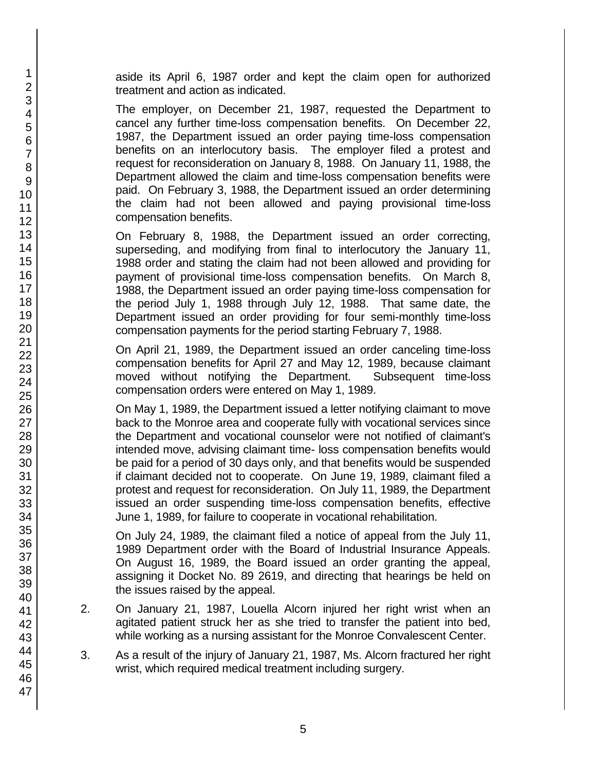aside its April 6, 1987 order and kept the claim open for authorized treatment and action as indicated.

The employer, on December 21, 1987, requested the Department to cancel any further time-loss compensation benefits. On December 22, 1987, the Department issued an order paying time-loss compensation benefits on an interlocutory basis. The employer filed a protest and request for reconsideration on January 8, 1988. On January 11, 1988, the Department allowed the claim and time-loss compensation benefits were paid. On February 3, 1988, the Department issued an order determining the claim had not been allowed and paying provisional time-loss compensation benefits.

On February 8, 1988, the Department issued an order correcting, superseding, and modifying from final to interlocutory the January 11, 1988 order and stating the claim had not been allowed and providing for payment of provisional time-loss compensation benefits. On March 8, 1988, the Department issued an order paying time-loss compensation for the period July 1, 1988 through July 12, 1988. That same date, the Department issued an order providing for four semi-monthly time-loss compensation payments for the period starting February 7, 1988.

On April 21, 1989, the Department issued an order canceling time-loss compensation benefits for April 27 and May 12, 1989, because claimant moved without notifying the Department. Subsequent time-loss compensation orders were entered on May 1, 1989.

On May 1, 1989, the Department issued a letter notifying claimant to move back to the Monroe area and cooperate fully with vocational services since the Department and vocational counselor were not notified of claimant's intended move, advising claimant time- loss compensation benefits would be paid for a period of 30 days only, and that benefits would be suspended if claimant decided not to cooperate. On June 19, 1989, claimant filed a protest and request for reconsideration. On July 11, 1989, the Department issued an order suspending time-loss compensation benefits, effective June 1, 1989, for failure to cooperate in vocational rehabilitation.

On July 24, 1989, the claimant filed a notice of appeal from the July 11, 1989 Department order with the Board of Industrial Insurance Appeals. On August 16, 1989, the Board issued an order granting the appeal, assigning it Docket No. 89 2619, and directing that hearings be held on the issues raised by the appeal.

- 2. On January 21, 1987, Louella Alcorn injured her right wrist when an agitated patient struck her as she tried to transfer the patient into bed, while working as a nursing assistant for the Monroe Convalescent Center.
- 3. As a result of the injury of January 21, 1987, Ms. Alcorn fractured her right wrist, which required medical treatment including surgery.

47